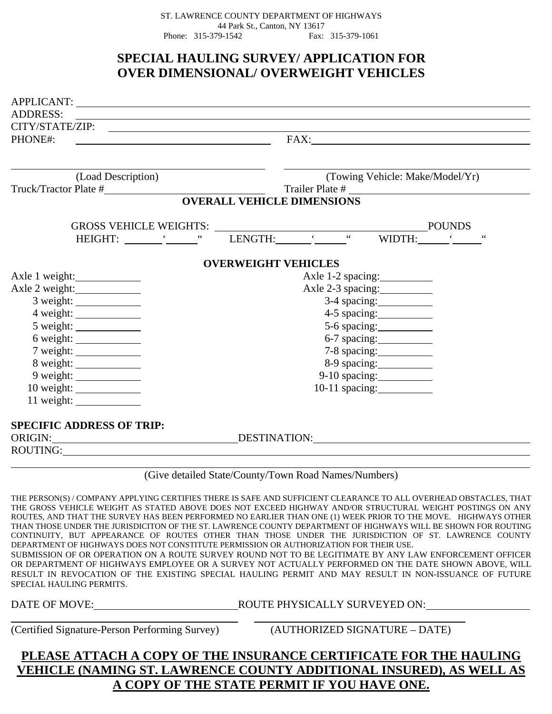ST. LAWRENCE COUNTY DEPARTMENT OF HIGHWAYS 44 Park St., Canton, NY 13617 Phone: 315-379-1542 Fax: 315-379-1061

# **SPECIAL HAULING SURVEY/ APPLICATION FOR OVER DIMENSIONAL/ OVERWEIGHT VEHICLES**

| APPLICANT:<br><b>ADDRESS:</b>                                                                                                                                                                                                  |                                   |
|--------------------------------------------------------------------------------------------------------------------------------------------------------------------------------------------------------------------------------|-----------------------------------|
|                                                                                                                                                                                                                                |                                   |
| PHONE#:<br><u> 1980 - Jan Stein Stein Stein Stein Stein Stein Stein Stein Stein Stein Stein Stein Stein Stein Stein Stein S</u>                                                                                                | CITY/STATE/ZIP:                   |
|                                                                                                                                                                                                                                |                                   |
| (Load Description)                                                                                                                                                                                                             | (Towing Vehicle: Make/Model/Yr)   |
|                                                                                                                                                                                                                                | Trailer Plate #                   |
|                                                                                                                                                                                                                                | <b>OVERALL VEHICLE DIMENSIONS</b> |
|                                                                                                                                                                                                                                | <b>POUNDS</b>                     |
|                                                                                                                                                                                                                                | WIDTH:                            |
|                                                                                                                                                                                                                                | <b>OVERWEIGHT VEHICLES</b>        |
| Axle 1 weight:                                                                                                                                                                                                                 | Axle 1-2 spacing:                 |
| Axle 2 weight:                                                                                                                                                                                                                 | Axle 2-3 spacing:                 |
|                                                                                                                                                                                                                                |                                   |
| 4 weight:                                                                                                                                                                                                                      |                                   |
|                                                                                                                                                                                                                                | 5-6 spacing:                      |
|                                                                                                                                                                                                                                |                                   |
|                                                                                                                                                                                                                                | 7-8 spacing:                      |
|                                                                                                                                                                                                                                |                                   |
|                                                                                                                                                                                                                                |                                   |
|                                                                                                                                                                                                                                |                                   |
| $11$ weight: $\qquad \qquad$                                                                                                                                                                                                   |                                   |
| <b>SPECIFIC ADDRESS OF TRIP:</b>                                                                                                                                                                                               |                                   |
|                                                                                                                                                                                                                                | ORIGIN: DESTINATION: DESTINATION: |
| ROUTING: CONSERVERS CONTROL CONTROL CONTROL CONTROL CONTROL CONTROL CONTROL CONTROL CONTROL CONTROL CONTROL CONTROL CONTROL CONTROL CONTROL CONTROL CONTROL CONTROL CONTROL CONTROL CONTROL CONTROL CONTROL CONTROL CONTROL CO |                                   |

(Give detailed State/County/Town Road Names/Numbers)

THE PERSON(S) / COMPANY APPLYING CERTIFIES THERE IS SAFE AND SUFFICIENT CLEARANCE TO ALL OVERHEAD OBSTACLES, THAT THE GROSS VEHICLE WEIGHT AS STATED ABOVE DOES NOT EXCEED HIGHWAY AND/OR STRUCTURAL WEIGHT POSTINGS ON ANY ROUTES, AND THAT THE SURVEY HAS BEEN PERFORMED NO EARLIER THAN ONE (1) WEEK PRIOR TO THE MOVE. HIGHWAYS OTHER THAN THOSE UNDER THE JURISDICITON OF THE ST. LAWRENCE COUNTY DEPARTMENT OF HIGHWAYS WILL BE SHOWN FOR ROUTING CONTINUITY, BUT APPEARANCE OF ROUTES OTHER THAN THOSE UNDER THE JURISDICTION OF ST. LAWRENCE COUNTY DEPARTMENT OF HIGHWAYS DOES NOT CONSTITUTE PERMISSION OR AUTHORIZATION FOR THEIR USE. SUBMISSION OF OR OPERATION ON A ROUTE SURVEY ROUND NOT TO BE LEGITIMATE BY ANY LAW ENFORCEMENT OFFICER OR DEPARTMENT OF HIGHWAYS EMPLOYEE OR A SURVEY NOT ACTUALLY PERFORMED ON THE DATE SHOWN ABOVE, WILL RESULT IN REVOCATION OF THE EXISTING SPECIAL HAULING PERMIT AND MAY RESULT IN NON-ISSUANCE OF FUTURE

 $\overline{a}$ 

SPECIAL HAULING PERMITS.

DATE OF MOVE: ROUTE PHYSICALLY SURVEYED ON:

(Certified Signature-Person Performing Survey) (AUTHORIZED SIGNATURE – DATE)

## **PLEASE ATTACH A COPY OF THE INSURANCE CERTIFICATE FOR THE HAULING VEHICLE (NAMING ST. LAWRENCE COUNTY ADDITIONAL INSURED), AS WELL AS A COPY OF THE STATE PERMIT IF YOU HAVE ONE.**